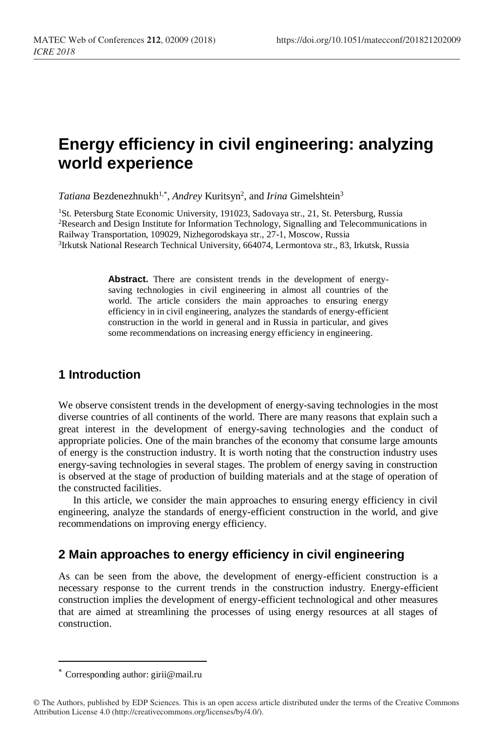# **Energy efficiency in civil engineering: analyzing world experience**

Tatiana Bezdenezhnukh<sup>1,\*</sup>, *Andrey* Kuritsyn<sup>2</sup>, and *Irina* Gimelshtein<sup>3</sup>

<sup>1</sup>St. Petersburg State Economic University, 191023, Sadovaya str., 21, St. Petersburg, Russia <sup>2</sup>Research and Design Institute for Information Technology, Signalling and Telecommunications in Railway Transportation, 109029, Nizhegorodskaya str., 27-1, Moscow, Russia <sup>3</sup>Irkutsk National Research Technical University, 664074, Lermontova str., 83, Irkutsk, Russia

> **Abstract.** There are consistent trends in the development of energysaving technologies in civil engineering in almost all countries of the world. The article considers the main approaches to ensuring energy efficiency in in civil engineering, analyzes the standards of energy-efficient construction in the world in general and in Russia in particular, and gives some recommendations on increasing energy efficiency in engineering.

#### **1 Introduction**

We observe consistent trends in the development of energy-saving technologies in the most diverse countries of all continents of the world. There are many reasons that explain such a great interest in the development of energy-saving technologies and the conduct of appropriate policies. One of the main branches of the economy that consume large amounts of energy is the construction industry. It is worth noting that the construction industry uses energy-saving technologies in several stages. The problem of energy saving in construction is observed at the stage of production of building materials and at the stage of operation of the constructed facilities.

In this article, we consider the main approaches to ensuring energy efficiency in civil engineering, analyze the standards of energy-efficient construction in the world, and give recommendations on improving energy efficiency.

#### **2 Main approaches to energy efficiency in civil engineering**

As can be seen from the above, the development of energy-efficient construction is a necessary response to the current trends in the construction industry. Energy-efficient construction implies the development of energy-efficient technological and other measures that are aimed at streamlining the processes of using energy resources at all stages of construction.

 $\overline{a}$ 

<sup>\*</sup> Corresponding author: girii@mail.ru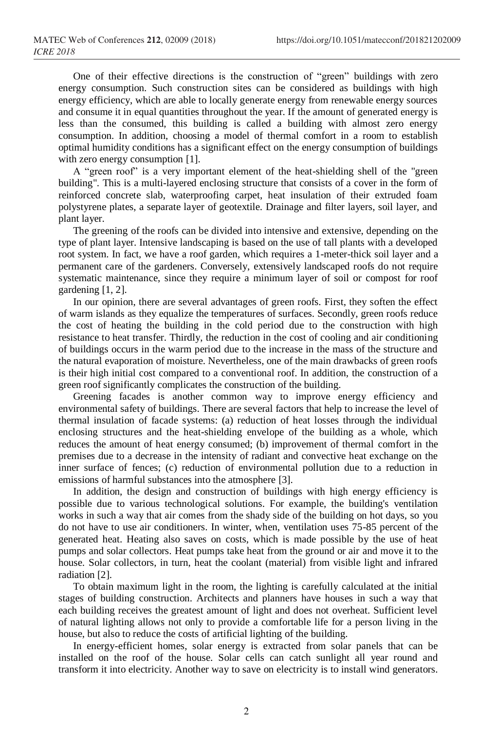One of their effective directions is the construction of "green" buildings with zero energy consumption. Such construction sites can be considered as buildings with high energy efficiency, which are able to locally generate energy from renewable energy sources and consume it in equal quantities throughout the year. If the amount of generated energy is less than the consumed, this building is called a building with almost zero energy consumption. In addition, choosing a model of thermal comfort in a room to establish optimal humidity conditions has a significant effect on the energy consumption of buildings with zero energy consumption [1].

A "green roof" is a very important element of the heat-shielding shell of the "green building". This is a multi-layered enclosing structure that consists of a cover in the form of reinforced concrete slab, waterproofing carpet, heat insulation of their extruded foam polystyrene plates, a separate layer of geotextile. Drainage and filter layers, soil layer, and plant layer.

The greening of the roofs can be divided into intensive and extensive, depending on the type of plant layer. Intensive landscaping is based on the use of tall plants with a developed root system. In fact, we have a roof garden, which requires a 1-meter-thick soil layer and a permanent care of the gardeners. Conversely, extensively landscaped roofs do not require systematic maintenance, since they require a minimum layer of soil or compost for roof gardening [1, 2].

In our opinion, there are several advantages of green roofs. First, they soften the effect of warm islands as they equalize the temperatures of surfaces. Secondly, green roofs reduce the cost of heating the building in the cold period due to the construction with high resistance to heat transfer. Thirdly, the reduction in the cost of cooling and air conditioning of buildings occurs in the warm period due to the increase in the mass of the structure and the natural evaporation of moisture. Nevertheless, one of the main drawbacks of green roofs is their high initial cost compared to a conventional roof. In addition, the construction of a green roof significantly complicates the construction of the building.

Greening facades is another common way to improve energy efficiency and environmental safety of buildings. There are several factors that help to increase the level of thermal insulation of facade systems: (a) reduction of heat losses through the individual enclosing structures and the heat-shielding envelope of the building as a whole, which reduces the amount of heat energy consumed; (b) improvement of thermal comfort in the premises due to a decrease in the intensity of radiant and convective heat exchange on the inner surface of fences; (c) reduction of environmental pollution due to a reduction in emissions of harmful substances into the atmosphere [3].

In addition, the design and construction of buildings with high energy efficiency is possible due to various technological solutions. For example, the building's ventilation works in such a way that air comes from the shady side of the building on hot days, so you do not have to use air conditioners. In winter, when, ventilation uses 75-85 percent of the generated heat. Heating also saves on costs, which is made possible by the use of heat pumps and solar collectors. Heat pumps take heat from the ground or air and move it to the house. Solar collectors, in turn, heat the coolant (material) from visible light and infrared radiation [2].

To obtain maximum light in the room, the lighting is carefully calculated at the initial stages of building construction. Architects and planners have houses in such a way that each building receives the greatest amount of light and does not overheat. Sufficient level of natural lighting allows not only to provide a comfortable life for a person living in the house, but also to reduce the costs of artificial lighting of the building.

In energy-efficient homes, solar energy is extracted from solar panels that can be installed on the roof of the house. Solar cells can catch sunlight all year round and transform it into electricity. Another way to save on electricity is to install wind generators.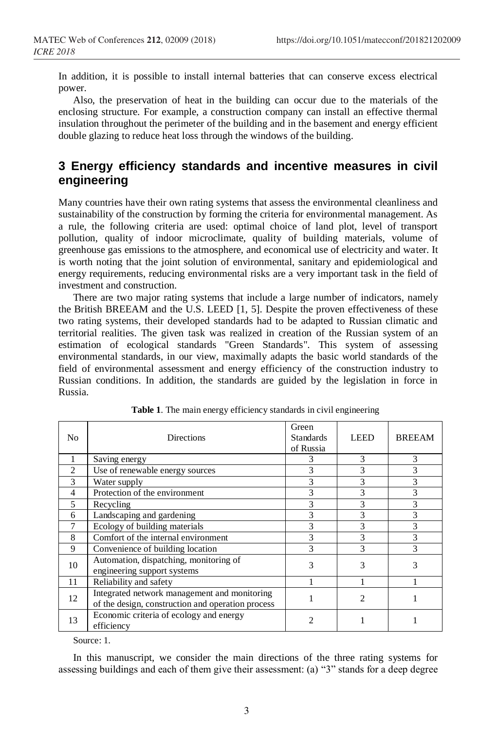In addition, it is possible to install internal batteries that can conserve excess electrical power.

Also, the preservation of heat in the building can occur due to the materials of the enclosing structure. For example, a construction company can install an effective thermal insulation throughout the perimeter of the building and in the basement and energy efficient double glazing to reduce heat loss through the windows of the building.

## **3 Energy efficiency standards and incentive measures in civil engineering**

Many countries have their own rating systems that assess the environmental cleanliness and sustainability of the construction by forming the criteria for environmental management. As a rule, the following criteria are used: optimal choice of land plot, level of transport pollution, quality of indoor microclimate, quality of building materials, volume of greenhouse gas emissions to the atmosphere, and economical use of electricity and water. It is worth noting that the joint solution of environmental, sanitary and epidemiological and energy requirements, reducing environmental risks are a very important task in the field of investment and construction.

There are two major rating systems that include a large number of indicators, namely the British BREEAM and the U.S. LEED [1, 5]. Despite the proven effectiveness of these two rating systems, their developed standards had to be adapted to Russian climatic and territorial realities. The given task was realized in creation of the Russian system of an estimation of ecological standards "Green Standards". This system of assessing environmental standards, in our view, maximally adapts the basic world standards of the field of environmental assessment and energy efficiency of the construction industry to Russian conditions. In addition, the standards are guided by the legislation in force in Russia.

| N <sub>0</sub> | <b>Directions</b>                                                                                 | Green<br><b>Standards</b><br>of Russia | <b>LEED</b> | <b>BREEAM</b> |
|----------------|---------------------------------------------------------------------------------------------------|----------------------------------------|-------------|---------------|
|                | Saving energy                                                                                     | 3                                      | 3           | 3             |
| $\overline{c}$ | Use of renewable energy sources                                                                   | 3                                      | 3           | 3             |
| 3              | Water supply                                                                                      | 3                                      | 3           | 3             |
| 4              | Protection of the environment                                                                     | 3                                      | 3           | 3             |
| 5              | Recycling                                                                                         | 3                                      | 3           | 3             |
| 6              | Landscaping and gardening                                                                         | 3                                      | 3           | 3             |
|                | Ecology of building materials                                                                     | 3                                      |             | 3             |
| 8              | Comfort of the internal environment                                                               |                                        |             |               |
| 9              | Convenience of building location                                                                  | 3                                      | 3           | 3             |
| 10             | Automation, dispatching, monitoring of<br>engineering support systems                             | 3                                      | 3           | 3             |
| 11             | Reliability and safety                                                                            |                                        |             |               |
| 12             | Integrated network management and monitoring<br>of the design, construction and operation process |                                        | 2           |               |
| 13             | Economic criteria of ecology and energy<br>efficiency                                             |                                        |             |               |

|  |  | Table 1. The main energy efficiency standards in civil engineering |  |  |  |
|--|--|--------------------------------------------------------------------|--|--|--|
|  |  |                                                                    |  |  |  |
|  |  |                                                                    |  |  |  |

Source: 1.

In this manuscript, we consider the main directions of the three rating systems for assessing buildings and each of them give their assessment: (a) "3" stands for a deep degree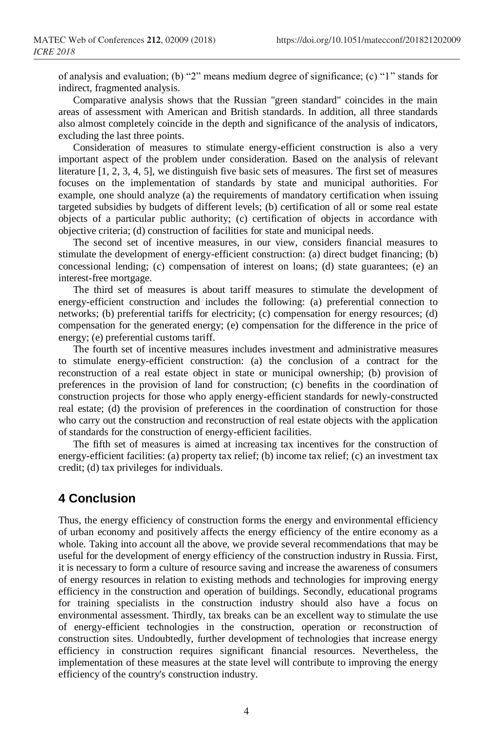of analysis and evaluation; (b) "2" means medium degree of significance; (c) "1" stands for indirect, fragmented analysis.

Comparative analysis shows that the Russian "green standard" coincides in the main areas of assessment with American and British standards. In addition, all three standards also almost completely coincide in the depth and significance of the analysis of indicators, excluding the last three points.

Consideration of measures to stimulate energy-efficient construction is also a very important aspect of the problem under consideration. Based on the analysis of relevant literature [1, 2, 3, 4, 5], we distinguish five basic sets of measures. The first set of measures focuses on the implementation of standards by state and municipal authorities. For example, one should analyze (a) the requirements of mandatory certification when issuing targeted subsidies by budgets of different levels; (b) certification of all or some real estate objects of a particular public authority; (c) certification of objects in accordance with objective criteria; (d) construction of facilities for state and municipal needs.

The second set of incentive measures, in our view, considers financial measures to stimulate the development of energy-efficient construction: (a) direct budget financing; (b) concessional lending; (c) compensation of interest on loans; (d) state guarantees; (e) an interest-free mortgage.

The third set of measures is about tariff measures to stimulate the development of energy-efficient construction and includes the following: (a) preferential connection to networks; (b) preferential tariffs for electricity; (c) compensation for energy resources; (d) compensation for the generated energy; (e) compensation for the difference in the price of energy; (e) preferential customs tariff.

The fourth set of incentive measures includes investment and administrative measures to stimulate energy-efficient construction: (a) the conclusion of a contract for the reconstruction of a real estate object in state or municipal ownership; (b) provision of preferences in the provision of land for construction; (c) benefits in the coordination of construction projects for those who apply energy-efficient standards for newly-constructed real estate; (d) the provision of preferences in the coordination of construction for those who carry out the construction and reconstruction of real estate objects with the application of standards for the construction of energy-efficient facilities.

The fifth set of measures is aimed at increasing tax incentives for the construction of energy-efficient facilities: (a) property tax relief; (b) income tax relief; (c) an investment tax credit; (d) tax privileges for individuals.

## **4 Conclusion**

Thus, the energy efficiency of construction forms the energy and environmental efficiency of urban economy and positively affects the energy efficiency of the entire economy as a whole. Taking into account all the above, we provide several recommendations that may be useful for the development of energy efficiency of the construction industry in Russia. First, it is necessary to form a culture of resource saving and increase the awareness of consumers of energy resources in relation to existing methods and technologies for improving energy efficiency in the construction and operation of buildings. Secondly, educational programs for training specialists in the construction industry should also have a focus on environmental assessment. Thirdly, tax breaks can be an excellent way to stimulate the use of energy-efficient technologies in the construction, operation or reconstruction of construction sites. Undoubtedly, further development of technologies that increase energy efficiency in construction requires significant financial resources. Nevertheless, the implementation of these measures at the state level will contribute to improving the energy efficiency of the country's construction industry.